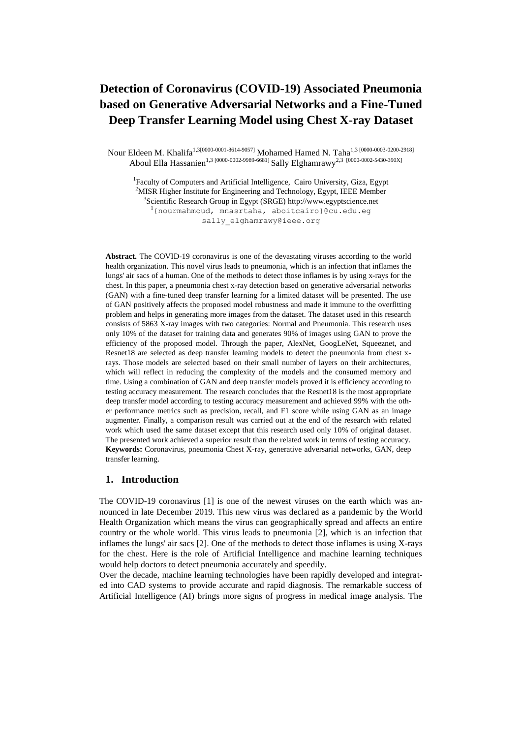# **Detection of Coronavirus (COVID-19) Associated Pneumonia based on Generative Adversarial Networks and a Fine-Tuned Deep Transfer Learning Model using Chest X-ray Dataset**

Nour Eldeen M. Khalifa<sup>1,3[0000-0001-8614-9057]</sup> Mohamed Hamed N. Taha<sup>1,3 [0000-0003-0200-2918]</sup> Aboul Ella Hassanien<sup>1,3 [0000-0002-9989-6681]</sup> Sally Elghamrawy<sup>2,3</sup> <sup>[0000-0002-5430-390X]</sup>

<sup>1</sup>Faculty of Computers and Artificial Intelligence, Cairo University, Giza, Egypt  $2$ MISR Higher Institute for Engineering and Technology, Egypt, IEEE Member 3 Scientific Research Group in Egypt (SRGE) [http://www.egyptscience.net](http://www.egyptscience.net/)  $1$ {nourmahmoud, mnasrtaha, [aboitcairo}@cu.edu.eg](mailto:aboitcairo%7d@cu.edu.eg) sally elghamrawy@ieee.org

**Abstract.** The COVID-19 coronavirus is one of the devastating viruses according to the world health organization. This novel virus leads to pneumonia, which is an infection that inflames the lungs' air sacs of a human. One of the methods to detect those inflames is by using x-rays for the chest. In this paper, a pneumonia chest x-ray detection based on generative adversarial networks (GAN) with a fine-tuned deep transfer learning for a limited dataset will be presented. The use of GAN positively affects the proposed model robustness and made it immune to the overfitting problem and helps in generating more images from the dataset. The dataset used in this research consists of 5863 X-ray images with two categories: Normal and Pneumonia. This research uses only 10% of the dataset for training data and generates 90% of images using GAN to prove the efficiency of the proposed model. Through the paper, AlexNet, GoogLeNet, Squeeznet, and Resnet18 are selected as deep transfer learning models to detect the pneumonia from chest xrays. Those models are selected based on their small number of layers on their architectures, which will reflect in reducing the complexity of the models and the consumed memory and time. Using a combination of GAN and deep transfer models proved it is efficiency according to testing accuracy measurement. The research concludes that the Resnet18 is the most appropriate deep transfer model according to testing accuracy measurement and achieved 99% with the other performance metrics such as precision, recall, and F1 score while using GAN as an image augmenter. Finally, a comparison result was carried out at the end of the research with related work which used the same dataset except that this research used only 10% of original dataset. The presented work achieved a superior result than the related work in terms of testing accuracy. **Keywords:** Coronavirus, pneumonia Chest X-ray, generative adversarial networks, GAN, deep transfer learning.

## **1. Introduction**

The COVID-19 coronavirus [1] is one of the newest viruses on the earth which was announced in late December 2019. This new virus was declared as a pandemic by the World Health Organization which means the virus can geographically spread and affects an entire country or the whole world. This virus leads to pneumonia [2], which is an infection that inflames the lungs' air sacs [2]. One of the methods to detect those inflames is using X-rays for the chest. Here is the role of Artificial Intelligence and machine learning techniques would help doctors to detect pneumonia accurately and speedily.

Over the decade, machine learning technologies have been rapidly developed and integrated into CAD systems to provide accurate and rapid diagnosis. The remarkable success of Artificial Intelligence (AI) brings more signs of progress in medical image analysis. The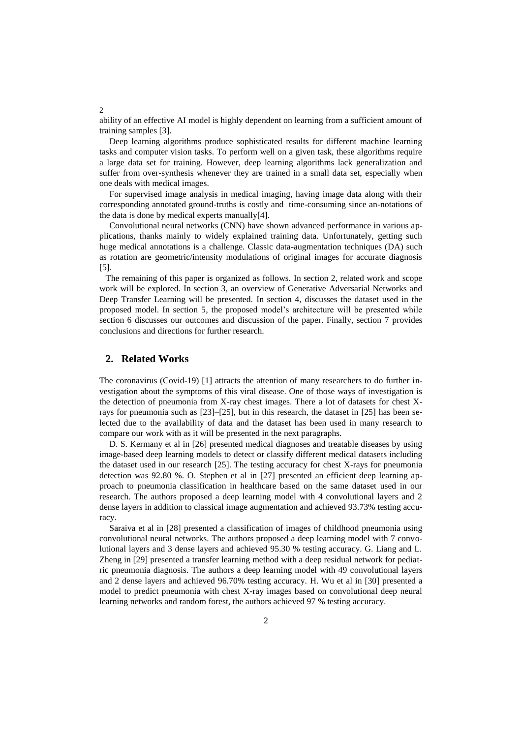ability of an effective AI model is highly dependent on learning from a sufficient amount of training samples [3].

Deep learning algorithms produce sophisticated results for different machine learning tasks and computer vision tasks. To perform well on a given task, these algorithms require a large data set for training. However, deep learning algorithms lack generalization and suffer from over-synthesis whenever they are trained in a small data set, especially when one deals with medical images.

For supervised image analysis in medical imaging, having image data along with their corresponding annotated ground-truths is costly and time-consuming since an-notations of the data is done by medical experts manually[4].

Convolutional neural networks (CNN) have shown advanced performance in various applications, thanks mainly to widely explained training data. Unfortunately, getting such huge medical annotations is a challenge. Classic data-augmentation techniques (DA) such as rotation are geometric/intensity modulations of original images for accurate diagnosis [5].

The remaining of this paper is organized as follows. In section 2, related work and scope work will be explored. In section 3, an overview of Generative Adversarial Networks and Deep Transfer Learning will be presented. In section 4, discusses the dataset used in the proposed model. In section 5, the proposed model's architecture will be presented while section 6 discusses our outcomes and discussion of the paper. Finally, section 7 provides conclusions and directions for further research.

# **2. Related Works**

The coronavirus (Covid-19) [1] attracts the attention of many researchers to do further investigation about the symptoms of this viral disease. One of those ways of investigation is the detection of pneumonia from X-ray chest images. There a lot of datasets for chest Xrays for pneumonia such as  $[23]$ – $[25]$ , but in this research, the dataset in  $[25]$  has been selected due to the availability of data and the dataset has been used in many research to compare our work with as it will be presented in the next paragraphs.

D. S. Kermany et al in [26] presented medical diagnoses and treatable diseases by using image-based deep learning models to detect or classify different medical datasets including the dataset used in our research [25]. The testing accuracy for chest X-rays for pneumonia detection was 92.80 %. O. Stephen et al in [27] presented an efficient deep learning approach to pneumonia classification in healthcare based on the same dataset used in our research. The authors proposed a deep learning model with 4 convolutional layers and 2 dense layers in addition to classical image augmentation and achieved 93.73% testing accuracy.

Saraiva et al in [28] presented a classification of images of childhood pneumonia using convolutional neural networks. The authors proposed a deep learning model with 7 convolutional layers and 3 dense layers and achieved 95.30 % testing accuracy. G. Liang and L. Zheng in [29] presented a transfer learning method with a deep residual network for pediatric pneumonia diagnosis. The authors a deep learning model with 49 convolutional layers and 2 dense layers and achieved 96.70% testing accuracy. H. Wu et al in [30] presented a model to predict pneumonia with chest X-ray images based on convolutional deep neural learning networks and random forest, the authors achieved 97 % testing accuracy.

 $\overline{2}$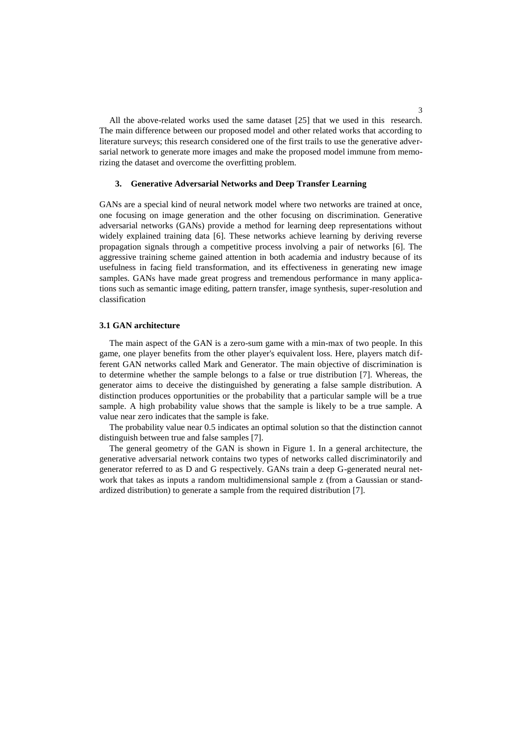All the above-related works used the same dataset [25] that we used in this research. The main difference between our proposed model and other related works that according to literature surveys; this research considered one of the first trails to use the generative adversarial network to generate more images and make the proposed model immune from memorizing the dataset and overcome the overfitting problem.

#### **3. Generative Adversarial Networks and Deep Transfer Learning**

GANs are a special kind of neural network model where two networks are trained at once, one focusing on image generation and the other focusing on discrimination. Generative adversarial networks (GANs) provide a method for learning deep representations without widely explained training data [6]. These networks achieve learning by deriving reverse propagation signals through a competitive process involving a pair of networks [6]. The aggressive training scheme gained attention in both academia and industry because of its usefulness in facing field transformation, and its effectiveness in generating new image samples. GANs have made great progress and tremendous performance in many applications such as semantic image editing, pattern transfer, image synthesis, super-resolution and classification

## **3.1 GAN architecture**

The main aspect of the GAN is a zero-sum game with a min-max of two people. In this game, one player benefits from the other player's equivalent loss. Here, players match different GAN networks called Mark and Generator. The main objective of discrimination is to determine whether the sample belongs to a false or true distribution [7]. Whereas, the generator aims to deceive the distinguished by generating a false sample distribution. A distinction produces opportunities or the probability that a particular sample will be a true sample. A high probability value shows that the sample is likely to be a true sample. A value near zero indicates that the sample is fake.

The probability value near 0.5 indicates an optimal solution so that the distinction cannot distinguish between true and false samples [7].

The general geometry of the GAN is shown in Figure 1. In a general architecture, the generative adversarial network contains two types of networks called discriminatorily and generator referred to as D and G respectively. GANs train a deep G-generated neural network that takes as inputs a random multidimensional sample z (from a Gaussian or standardized distribution) to generate a sample from the required distribution [7].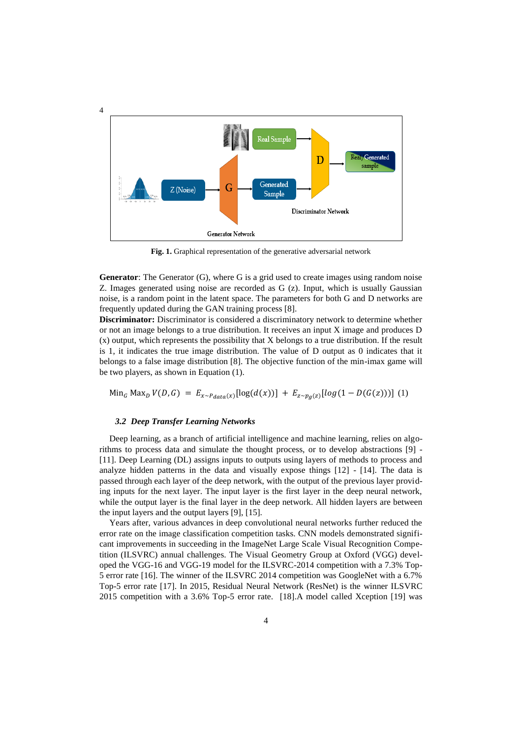

**Fig. 1.** Graphical representation of the generative adversarial network

**Generator**: The Generator (G), where G is a grid used to create images using random noise Z. Images generated using noise are recorded as G (z). Input, which is usually Gaussian noise, is a random point in the latent space. The parameters for both G and D networks are frequently updated during the GAN training process [8].

**Discriminator:** Discriminator is considered a discriminatory network to determine whether or not an image belongs to a true distribution. It receives an input X image and produces D (x) output, which represents the possibility that X belongs to a true distribution. If the result is 1, it indicates the true image distribution. The value of D output as 0 indicates that it belongs to a false image distribution [8]. The objective function of the min-imax game will be two players, as shown in Equation (1).

 $\text{Min}_{G} \text{Max}_{D} V(D, G) = E_{x \sim P_{data}(x)} [\log(d(x))] + E_{z \sim p_{a}(z)} [log(1 - D(G(z)))]$  (1)

#### *3.2 Deep Transfer Learning Networks*

Deep learning, as a branch of artificial intelligence and machine learning, relies on algorithms to process data and simulate the thought process, or to develop abstractions [9] - [11]. Deep Learning (DL) assigns inputs to outputs using layers of methods to process and analyze hidden patterns in the data and visually expose things [12] - [14]. The data is passed through each layer of the deep network, with the output of the previous layer providing inputs for the next layer. The input layer is the first layer in the deep neural network, while the output layer is the final layer in the deep network. All hidden layers are between the input layers and the output layers [9], [15].

Years after, various advances in deep convolutional neural networks further reduced the error rate on the image classification competition tasks. CNN models demonstrated significant improvements in succeeding in the ImageNet Large Scale Visual Recognition Competition (ILSVRC) annual challenges. The Visual Geometry Group at Oxford (VGG) developed the VGG-16 and VGG-19 model for the ILSVRC-2014 competition with a 7.3% Top-5 error rate [16]. The winner of the ILSVRC 2014 competition was GoogleNet with a 6.7% Top-5 error rate [17]. In 2015, Residual Neural Network (ResNet) is the winner ILSVRC 2015 competition with a 3.6% Top-5 error rate. [18].A model called Xception [19] was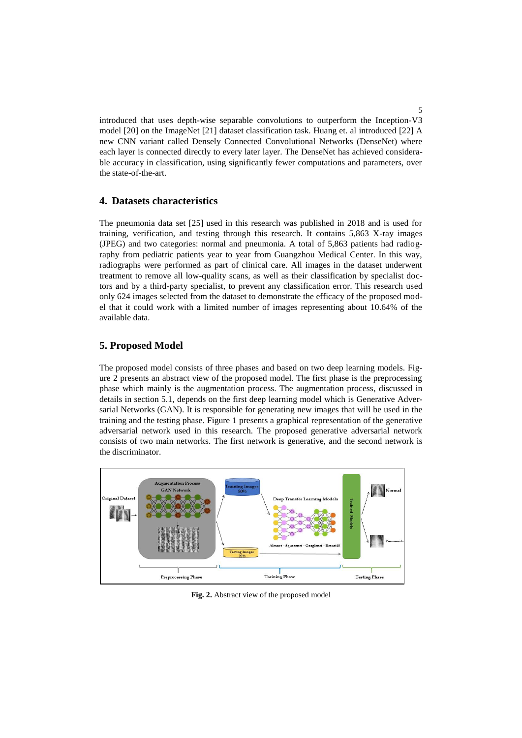introduced that uses depth-wise separable convolutions to outperform the Inception-V3 model [20] on the ImageNet [21] dataset classification task. Huang et. al introduced [22] A new CNN variant called Densely Connected Convolutional Networks (DenseNet) where each layer is connected directly to every later layer. The DenseNet has achieved considerable accuracy in classification, using significantly fewer computations and parameters, over the state-of-the-art.

# **4. Datasets characteristics**

The pneumonia data set [25] used in this research was published in 2018 and is used for training, verification, and testing through this research. It contains 5,863 X-ray images (JPEG) and two categories: normal and pneumonia. A total of 5,863 patients had radiography from pediatric patients year to year from Guangzhou Medical Center. In this way, radiographs were performed as part of clinical care. All images in the dataset underwent treatment to remove all low-quality scans, as well as their classification by specialist doctors and by a third-party specialist, to prevent any classification error. This research used only 624 images selected from the dataset to demonstrate the efficacy of the proposed model that it could work with a limited number of images representing about 10.64% of the available data.

# **5. Proposed Model**

The proposed model consists of three phases and based on two deep learning models. Figure 2 presents an abstract view of the proposed model. The first phase is the preprocessing phase which mainly is the augmentation process. The augmentation process, discussed in details in section 5.1, depends on the first deep learning model which is Generative Adversarial Networks (GAN). It is responsible for generating new images that will be used in the training and the testing phase. Figure 1 presents a graphical representation of the generative adversarial network used in this research. The proposed generative adversarial network consists of two main networks. The first network is generative, and the second network is the discriminator.



**Fig. 2.** Abstract view of the proposed model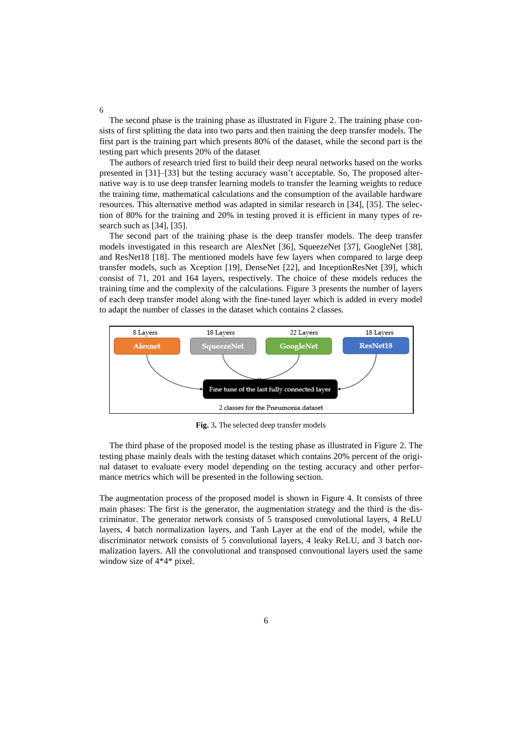The second phase is the training phase as illustrated in Figure 2. The training phase consists of first splitting the data into two parts and then training the deep transfer models. The first part is the training part which presents 80% of the dataset, while the second part is the testing part which presents 20% of the dataset

The authors of research tried first to build their deep neural networks based on the works presented in [31]–[33] but the testing accuracy wasn't acceptable. So, The proposed alternative way is to use deep transfer learning models to transfer the learning weights to reduce the training time, mathematical calculations and the consumption of the available hardware resources. This alternative method was adapted in similar research in [34], [35]. The selection of 80% for the training and 20% in testing proved it is efficient in many types of research such as [34], [35].

The second part of the training phase is the deep transfer models. The deep transfer models investigated in this research are AlexNet [36], SqueezeNet [37], GoogleNet [38], and ResNet18 [18]. The mentioned models have few layers when compared to large deep transfer models, such as Xception [19], DenseNet [22], and InceptionResNet [39], which consist of 71, 201 and 164 layers, respectively. The choice of these models reduces the training time and the complexity of the calculations. Figure 3 presents the number of layers of each deep transfer model along with the fine-tuned layer which is added in every model to adapt the number of classes in the dataset which contains 2 classes.



**Fig.** 3**.** The selected deep transfer models

The third phase of the proposed model is the testing phase as illustrated in Figure 2. The testing phase mainly deals with the testing dataset which contains 20% percent of the original dataset to evaluate every model depending on the testing accuracy and other performance metrics which will be presented in the following section.

The augmentation process of the proposed model is shown in Figure 4. It consists of three main phases: The first is the generator, the augmentation strategy and the third is the discriminator. The generator network consists of 5 transposed convolutional layers, 4 ReLU layers, 4 batch normalization layers, and Tanh Layer at the end of the model, while the discriminator network consists of 5 convolutional layers, 4 leaky ReLU, and 3 batch normalization layers. All the convolutional and transposed convoutional layers used the same window size of 4\*4\* pixel.

6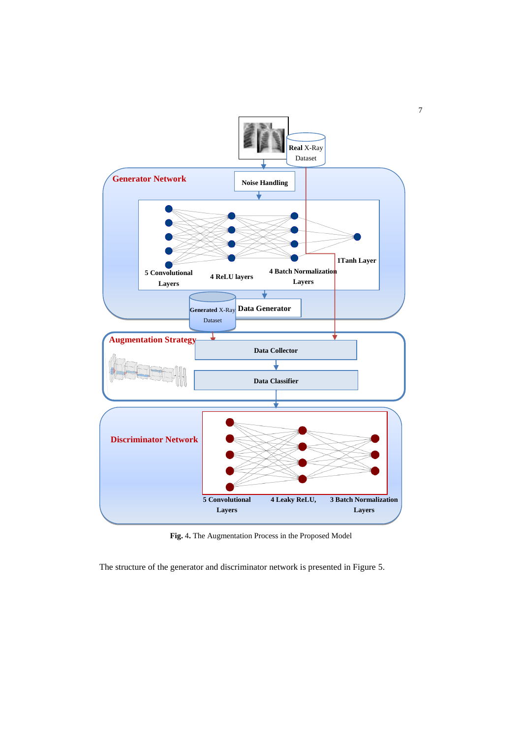

7

**Fig.** 4**.** The Augmentation Process in the Proposed Model

The structure of the generator and discriminator network is presented in Figure 5.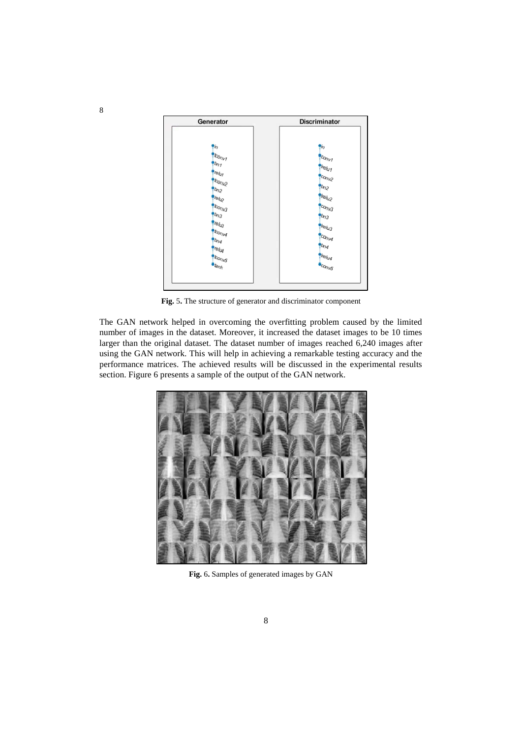

**Fig.** 5**.** The structure of generator and discriminator component

The GAN network helped in overcoming the overfitting problem caused by the limited number of images in the dataset. Moreover, it increased the dataset images to be 10 times larger than the original dataset. The dataset number of images reached 6,240 images after using the GAN network. This will help in achieving a remarkable testing accuracy and the performance matrices. The achieved results will be discussed in the experimental results section. Figure 6 presents a sample of the output of the GAN network.



**Fig.** 6**.** Samples of generated images by GAN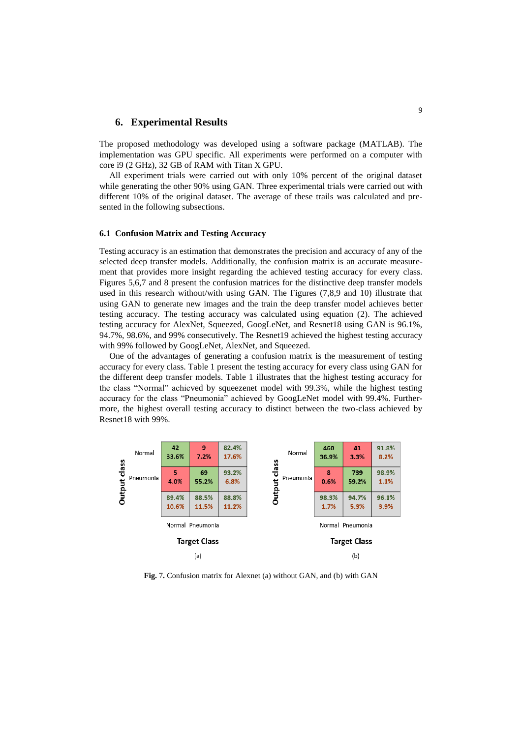## **6. Experimental Results**

The proposed methodology was developed using a software package (MATLAB). The implementation was GPU specific. All experiments were performed on a computer with core i9 (2 GHz), 32 GB of RAM with Titan X GPU.

All experiment trials were carried out with only 10% percent of the original dataset while generating the other 90% using GAN. Three experimental trials were carried out with different 10% of the original dataset. The average of these trails was calculated and presented in the following subsections.

#### **6.1 Confusion Matrix and Testing Accuracy**

Testing accuracy is an estimation that demonstrates the precision and accuracy of any of the selected deep transfer models. Additionally, the confusion matrix is an accurate measurement that provides more insight regarding the achieved testing accuracy for every class. Figures 5,6,7 and 8 present the confusion matrices for the distinctive deep transfer models used in this research without/with using GAN. The Figures (7,8,9 and 10) illustrate that using GAN to generate new images and the train the deep transfer model achieves better testing accuracy. The testing accuracy was calculated using equation (2). The achieved testing accuracy for AlexNet, Squeezed, GoogLeNet, and Resnet18 using GAN is 96.1%, 94.7%, 98.6%, and 99% consecutively. The Resnet19 achieved the highest testing accuracy with 99% followed by GoogLeNet, AlexNet, and Squeezed.

One of the advantages of generating a confusion matrix is the measurement of testing accuracy for every class. Table 1 present the testing accuracy for every class using GAN for the different deep transfer models. Table 1 illustrates that the highest testing accuracy for the class "Normal" achieved by squeezenet model with 99.3%, while the highest testing accuracy for the class "Pneumonia" achieved by GoogLeNet model with 99.4%. Furthermore, the highest overall testing accuracy to distinct between the two-class achieved by Resnet18 with 99%.



**Fig.** 7**.** Confusion matrix for Alexnet (a) without GAN, and (b) with GAN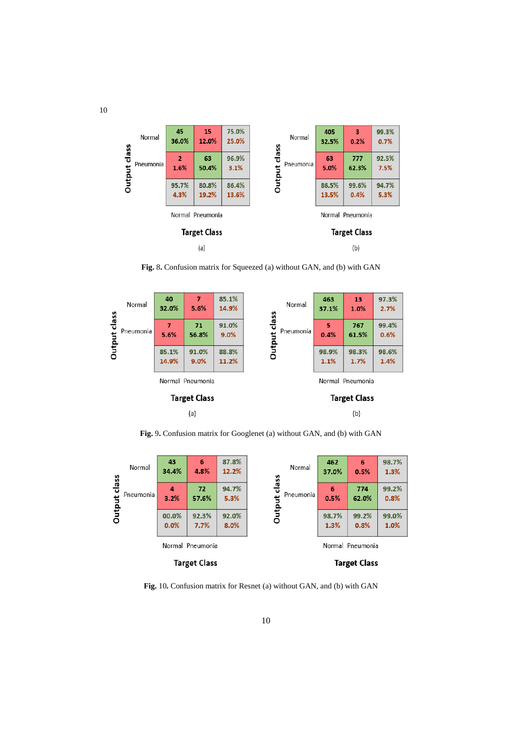

**Fig.** 8**.** Confusion matrix for Squeezed (a) without GAN, and (b) with GAN



**Fig.** 9**.** Confusion matrix for Googlenet (a) without GAN, and (b) with GAN

|                      | Normal           | 43<br>34.4%   | 6<br>4.8%     | 87.8%<br>12.2%   | Normal<br>lass      | 462<br>37.0%  | 6<br>0.5%     | 98.7%<br>1.3% |
|----------------------|------------------|---------------|---------------|------------------|---------------------|---------------|---------------|---------------|
| lass<br>᠊ᠣ<br>Output | Pneumonia        | 4<br>3.2%     | 72<br>57.6%   | 94.7%<br>5.3%    | ত<br>Pneumonia      | 6<br>0.5%     | 774<br>62.0%  | 99.2%<br>0.8% |
|                      |                  | 00.0%<br>0.0% | 92.3%<br>7.7% | 92.0%<br>8.0%    | Outp                | 98.7%<br>1.3% | 99.2%<br>0.8% | 99.0%<br>1.0% |
|                      | Normal Pneumonia |               |               | Normal Pneumonia |                     |               |               |               |
| <b>Target Class</b>  |                  |               |               |                  | <b>Target Class</b> |               |               |               |

**Fig.** 10**.** Confusion matrix for Resnet (a) without GAN, and (b) with GAN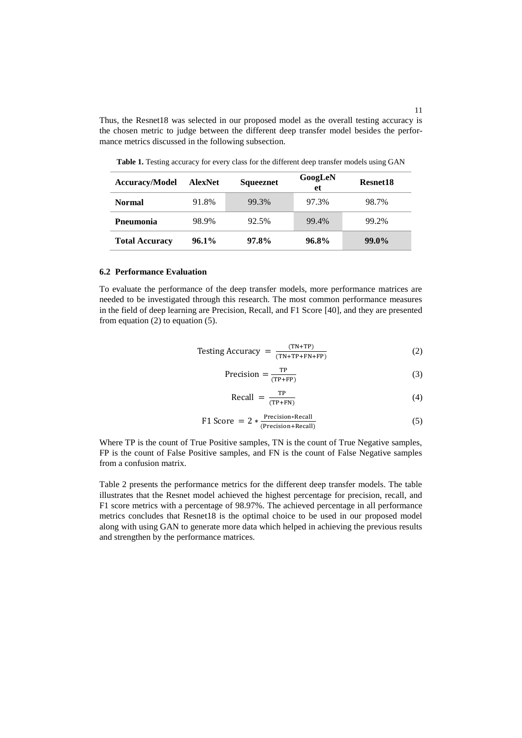Thus, the Resnet18 was selected in our proposed model as the overall testing accuracy is the chosen metric to judge between the different deep transfer model besides the performance metrics discussed in the following subsection.

| <b>Accuracy/Model</b> | <b>AlexNet</b> | Squeeznet | GoogLeN<br>et | Resnet18 |
|-----------------------|----------------|-----------|---------------|----------|
| <b>Normal</b>         | 91.8%          | 99.3%     | 97.3%         | 98.7%    |
| <b>P</b> neumonia     | 98.9%          | 92.5%     | 99.4%         | 99.2%    |
| <b>Total Accuracy</b> | $96.1\%$       | 97.8%     | 96.8%         | 99.0%    |

**Table 1.** Testing accuracy for every class for the different deep transfer models using GAN

#### **6.2 Performance Evaluation**

To evaluate the performance of the deep transfer models, more performance matrices are needed to be investigated through this research. The most common performance measures in the field of deep learning are Precision, Recall, and F1 Score [40], and they are presented from equation  $(2)$  to equation  $(5)$ .

Testing Accuracy 
$$
=\frac{(TN+TP)}{(TN+TP+FN+FP)}
$$
 (2)

$$
Precision = \frac{TP}{(TP + FP)}
$$
 (3)

$$
Recall = \frac{TP}{(TP+FN)}
$$
 (4)

F1 Score = 
$$
2 * \frac{\text{Precision} * \text{Recall}}{\text{(Precision} + \text{Recall)}}
$$
 (5)

Where TP is the count of True Positive samples, TN is the count of True Negative samples, FP is the count of False Positive samples, and FN is the count of False Negative samples from a confusion matrix.

Table 2 presents the performance metrics for the different deep transfer models. The table illustrates that the Resnet model achieved the highest percentage for precision, recall, and F1 score metrics with a percentage of 98.97%. The achieved percentage in all performance metrics concludes that Resnet18 is the optimal choice to be used in our proposed model along with using GAN to generate more data which helped in achieving the previous results and strengthen by the performance matrices.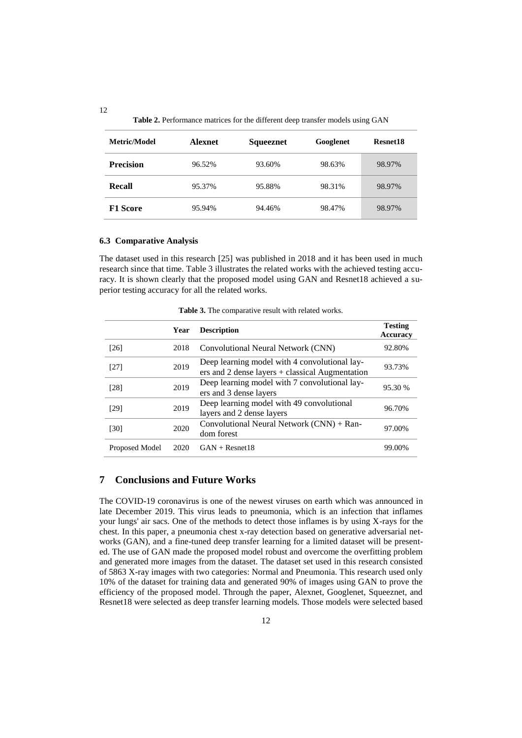| Metric/Model     | <b>Alexnet</b> | Squeeznet | Googlenet | Resnet18 |
|------------------|----------------|-----------|-----------|----------|
| <b>Precision</b> | 96.52%         | 93.60%    | 98.63%    | 98.97%   |
| Recall           | 95.37%         | 95.88%    | 98.31%    | 98.97%   |
| <b>F1 Score</b>  | 95.94%         | 94.46%    | 98.47%    | 98.97%   |

#### **6.3 Comparative Analysis**

The dataset used in this research [25] was published in 2018 and it has been used in much research since that time. Table 3 illustrates the related works with the achieved testing accuracy. It is shown clearly that the proposed model using GAN and Resnet18 achieved a superior testing accuracy for all the related works.

|                | Year | <b>Description</b>                                                                                 | <b>Testing</b><br>Accuracy |
|----------------|------|----------------------------------------------------------------------------------------------------|----------------------------|
| [26]           | 2018 | Convolutional Neural Network (CNN)                                                                 | 92.80%                     |
| [27]           | 2019 | Deep learning model with 4 convolutional lay-<br>$ers$ and 2 dense layers + classical Augmentation | 93.73%                     |
| [28]           | 2019 | Deep learning model with 7 convolutional lay-<br>ers and 3 dense layers                            | 95.30 %                    |
| [29]           | 2019 | Deep learning model with 49 convolutional<br>layers and 2 dense layers                             | 96.70%                     |
| [30]           | 2020 | Convolutional Neural Network (CNN) + Ran-<br>dom forest                                            | 97.00%                     |
| Proposed Model | 2020 | $GAN + Resnet18$                                                                                   | 99.00%                     |

**Table 3.** The comparative result with related works.

# **7 Conclusions and Future Works**

The COVID-19 coronavirus is one of the newest viruses on earth which was announced in late December 2019. This virus leads to pneumonia, which is an infection that inflames your lungs' air sacs. One of the methods to detect those inflames is by using X-rays for the chest. In this paper, a pneumonia chest x-ray detection based on generative adversarial networks (GAN), and a fine-tuned deep transfer learning for a limited dataset will be presented. The use of GAN made the proposed model robust and overcome the overfitting problem and generated more images from the dataset. The dataset set used in this research consisted of 5863 X-ray images with two categories: Normal and Pneumonia. This research used only 10% of the dataset for training data and generated 90% of images using GAN to prove the efficiency of the proposed model. Through the paper, Alexnet, Googlenet, Squeeznet, and Resnet18 were selected as deep transfer learning models. Those models were selected based

12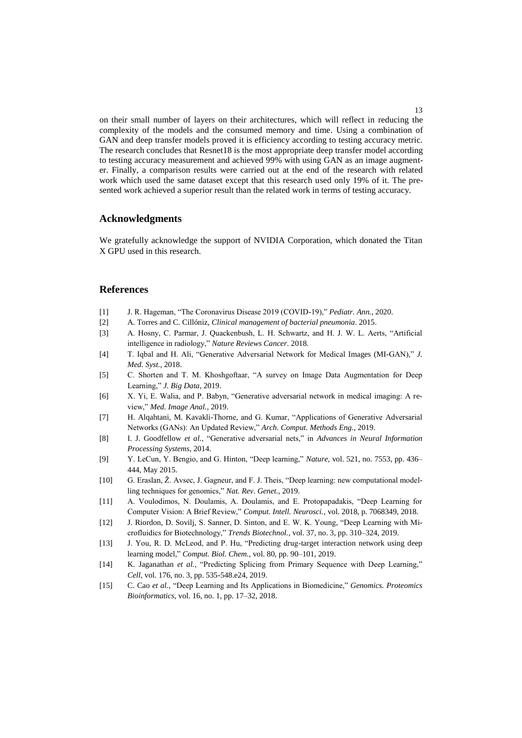on their small number of layers on their architectures, which will reflect in reducing the complexity of the models and the consumed memory and time. Using a combination of GAN and deep transfer models proved it is efficiency according to testing accuracy metric. The research concludes that Resnet18 is the most appropriate deep transfer model according to testing accuracy measurement and achieved 99% with using GAN as an image augmenter. Finally, a comparison results were carried out at the end of the research with related work which used the same dataset except that this research used only 19% of it. The presented work achieved a superior result than the related work in terms of testing accuracy.

## **Acknowledgments**

We gratefully acknowledge the support of NVIDIA Corporation, which donated the Titan X GPU used in this research.

## **References**

- [1] J. R. Hageman, "The Coronavirus Disease 2019 (COVID-19)," *Pediatr. Ann.*, 2020.
- [2] A. Torres and C. Cillóniz, *Clinical management of bacterial pneumonia*. 2015.
- [3] A. Hosny, C. Parmar, J. Quackenbush, L. H. Schwartz, and H. J. W. L. Aerts, "Artificial intelligence in radiology," *Nature Reviews Cancer*. 2018.
- [4] T. Iqbal and H. Ali, "Generative Adversarial Network for Medical Images (MI-GAN)," *J. Med. Syst.*, 2018.
- [5] C. Shorten and T. M. Khoshgoftaar, "A survey on Image Data Augmentation for Deep Learning," *J. Big Data*, 2019.
- [6] X. Yi, E. Walia, and P. Babyn, "Generative adversarial network in medical imaging: A review," *Med. Image Anal.*, 2019.
- [7] H. Alqahtani, M. Kavakli-Thorne, and G. Kumar, "Applications of Generative Adversarial Networks (GANs): An Updated Review," *Arch. Comput. Methods Eng.*, 2019.
- [8] I. J. Goodfellow *et al.*, "Generative adversarial nets," in *Advances in Neural Information Processing Systems*, 2014.
- [9] Y. LeCun, Y. Bengio, and G. Hinton, "Deep learning," *Nature*, vol. 521, no. 7553, pp. 436– 444, May 2015.
- [10] G. Eraslan, Ž. Avsec, J. Gagneur, and F. J. Theis, "Deep learning: new computational modelling techniques for genomics," *Nat. Rev. Genet.*, 2019.
- [11] A. Voulodimos, N. Doulamis, A. Doulamis, and E. Protopapadakis, "Deep Learning for Computer Vision: A Brief Review," *Comput. Intell. Neurosci.*, vol. 2018, p. 7068349, 2018.
- [12] J. Riordon, D. Sovilj, S. Sanner, D. Sinton, and E. W. K. Young, "Deep Learning with Microfluidics for Biotechnology," *Trends Biotechnol.*, vol. 37, no. 3, pp. 310–324, 2019.
- [13] J. You, R. D. McLeod, and P. Hu, "Predicting drug-target interaction network using deep learning model," *Comput. Biol. Chem.*, vol. 80, pp. 90–101, 2019.
- [14] K. Jaganathan *et al.*, "Predicting Splicing from Primary Sequence with Deep Learning," *Cell*, vol. 176, no. 3, pp. 535-548.e24, 2019.
- [15] C. Cao *et al.*, "Deep Learning and Its Applications in Biomedicine," *Genomics. Proteomics Bioinformatics*, vol. 16, no. 1, pp. 17–32, 2018.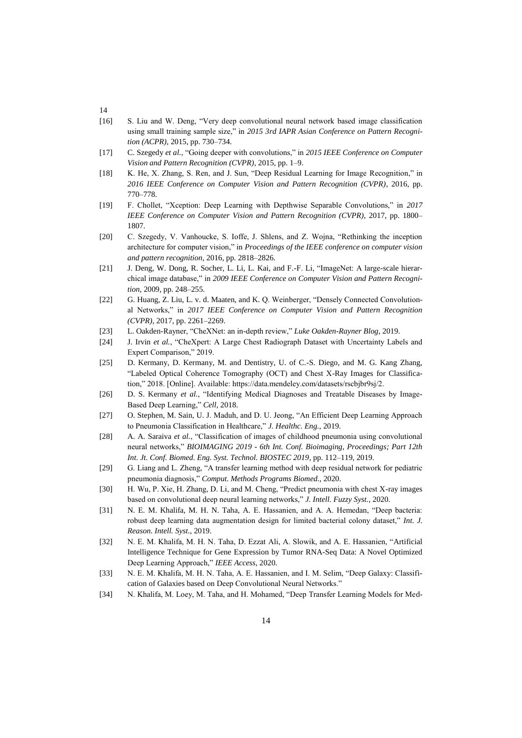- 14
- [16] S. Liu and W. Deng, "Very deep convolutional neural network based image classification using small training sample size," in *2015 3rd IAPR Asian Conference on Pattern Recognition (ACPR)*, 2015, pp. 730–734.
- [17] C. Szegedy *et al.*, "Going deeper with convolutions," in *2015 IEEE Conference on Computer Vision and Pattern Recognition (CVPR)*, 2015, pp. 1–9.
- [18] K. He, X. Zhang, S. Ren, and J. Sun, "Deep Residual Learning for Image Recognition," in *2016 IEEE Conference on Computer Vision and Pattern Recognition (CVPR)*, 2016, pp. 770–778.
- [19] F. Chollet, "Xception: Deep Learning with Depthwise Separable Convolutions," in *2017 IEEE Conference on Computer Vision and Pattern Recognition (CVPR)*, 2017, pp. 1800– 1807.
- [20] C. Szegedy, V. Vanhoucke, S. Ioffe, J. Shlens, and Z. Wojna, "Rethinking the inception architecture for computer vision," in *Proceedings of the IEEE conference on computer vision and pattern recognition*, 2016, pp. 2818–2826.
- [21] J. Deng, W. Dong, R. Socher, L. Li, L. Kai, and F.-F. Li, "ImageNet: A large-scale hierarchical image database," in *2009 IEEE Conference on Computer Vision and Pattern Recognition*, 2009, pp. 248–255.
- [22] G. Huang, Z. Liu, L. v. d. Maaten, and K. Q. Weinberger, "Densely Connected Convolutional Networks," in *2017 IEEE Conference on Computer Vision and Pattern Recognition (CVPR)*, 2017, pp. 2261–2269.
- [23] L. Oakden-Rayner, "CheXNet: an in-depth review," *Luke Oakden-Rayner Blog*, 2019.
- [24] J. Irvin *et al.*, "CheXpert: A Large Chest Radiograph Dataset with Uncertainty Labels and Expert Comparison," 2019.
- [25] D. Kermany, D. Kermany, M. and Dentistry, U. of C.-S. Diego, and M. G. Kang Zhang, "Labeled Optical Coherence Tomography (OCT) and Chest X-Ray Images for Classification," 2018. [Online]. Available: https://data.mendeley.com/datasets/rscbjbr9sj/2.
- [26] D. S. Kermany *et al.*, "Identifying Medical Diagnoses and Treatable Diseases by Image-Based Deep Learning," *Cell*, 2018.
- [27] O. Stephen, M. Sain, U. J. Maduh, and D. U. Jeong, "An Efficient Deep Learning Approach to Pneumonia Classification in Healthcare," *J. Healthc. Eng.*, 2019.
- [28] A. A. Saraiva *et al.*, "Classification of images of childhood pneumonia using convolutional neural networks," *BIOIMAGING 2019 - 6th Int. Conf. Bioimaging, Proceedings; Part 12th Int. Jt. Conf. Biomed. Eng. Syst. Technol. BIOSTEC 2019*, pp. 112–119, 2019.
- [29] G. Liang and L. Zheng, "A transfer learning method with deep residual network for pediatric pneumonia diagnosis," *Comput. Methods Programs Biomed.*, 2020.
- [30] H. Wu, P. Xie, H. Zhang, D. Li, and M. Cheng, "Predict pneumonia with chest X-ray images based on convolutional deep neural learning networks," *J. Intell. Fuzzy Syst.*, 2020.
- [31] N. E. M. Khalifa, M. H. N. Taha, A. E. Hassanien, and A. A. Hemedan, "Deep bacteria: robust deep learning data augmentation design for limited bacterial colony dataset," *Int. J. Reason. Intell. Syst.*, 2019.
- [32] N. E. M. Khalifa, M. H. N. Taha, D. Ezzat Ali, A. Slowik, and A. E. Hassanien, "Artificial Intelligence Technique for Gene Expression by Tumor RNA-Seq Data: A Novel Optimized Deep Learning Approach," *IEEE Access*, 2020.
- [33] N. E. M. Khalifa, M. H. N. Taha, A. E. Hassanien, and I. M. Selim, "Deep Galaxy: Classification of Galaxies based on Deep Convolutional Neural Networks."
- [34] N. Khalifa, M. Loey, M. Taha, and H. Mohamed, "Deep Transfer Learning Models for Med-